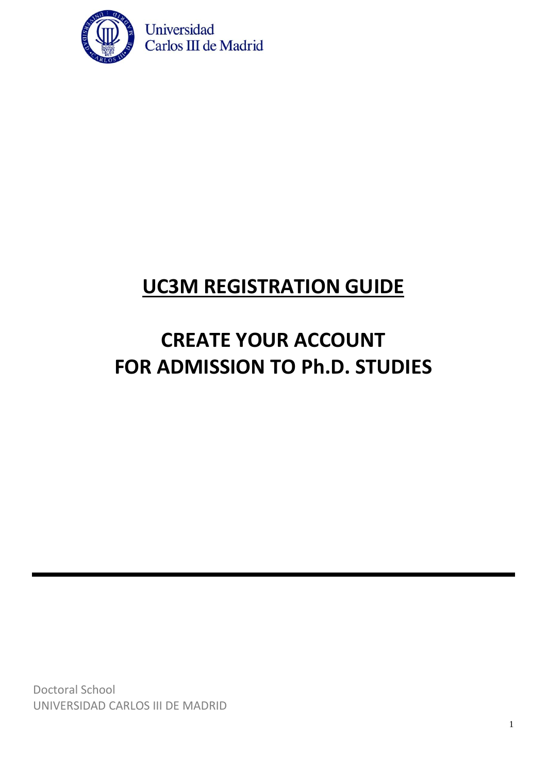

#### **UC3M REGISTRATION GUIDE**

# **CREATE YOUR ACCOUNT FOR ADMISSION TO Ph.D. STUDIES**

Doctoral School UNIVERSIDAD CARLOS III DE MADRID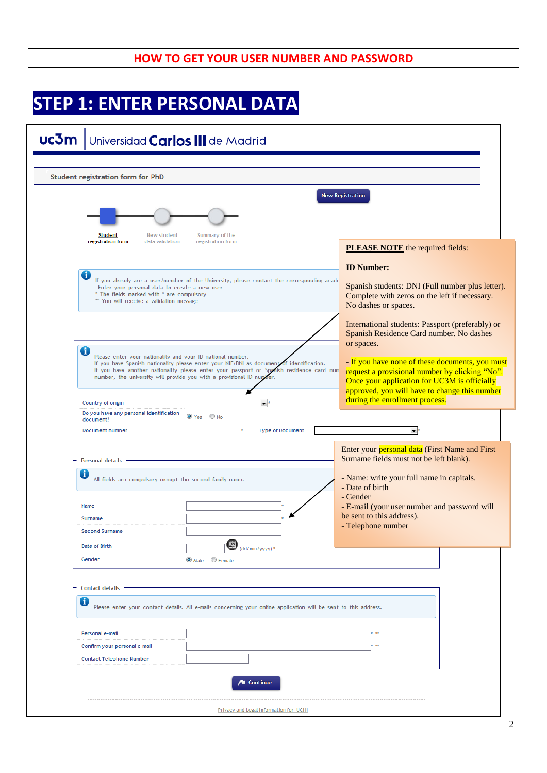#### **HOW TO GET YOUR USER NUMBER AND PASSWORD**

### **STEP 1: ENTER PERSONAL DATA**

| uc3m                                                                                                                                           | Universidad <b>Carlos III</b> de Madrid                                                                                                                                                                                                                    |                                                                                                                                                                                                                                                                          |  |
|------------------------------------------------------------------------------------------------------------------------------------------------|------------------------------------------------------------------------------------------------------------------------------------------------------------------------------------------------------------------------------------------------------------|--------------------------------------------------------------------------------------------------------------------------------------------------------------------------------------------------------------------------------------------------------------------------|--|
|                                                                                                                                                |                                                                                                                                                                                                                                                            |                                                                                                                                                                                                                                                                          |  |
| <b>Student registration form for PhD</b>                                                                                                       |                                                                                                                                                                                                                                                            |                                                                                                                                                                                                                                                                          |  |
| New student<br>Student<br>registration form<br>data validation                                                                                 | Summary of the<br>registration form                                                                                                                                                                                                                        | <b>New Registration</b><br><b>PLEASE NOTE</b> the required fields:                                                                                                                                                                                                       |  |
| O<br>Enter your personal data to create a new user<br>* The fields marked with * are compulsory<br>** You will receive a validation message    | If you already are a user/member of the University, please contact the corresponding acade                                                                                                                                                                 | <b>ID Number:</b><br>Spanish students: DNI (Full number plus letter).<br>Complete with zeros on the left if necessary.<br>No dashes or spaces.                                                                                                                           |  |
| 0<br>Please enter your nationality and your ID national number.                                                                                |                                                                                                                                                                                                                                                            | International students: Passport (preferably) or<br>Spanish Residence Card number. No dashes<br>or spaces.                                                                                                                                                               |  |
|                                                                                                                                                | If you have Spanish nationality please enter your NIF/DNI as document of identification.<br>If you have another nationality please enter your passport or Spanish residence card num<br>number, the university will provide you with a provisional ID numb | - If you have none of these documents, you must<br>request a provisional number by clicking "No".<br>Once your application for UC3M is officially<br>approved, you will have to change this number<br>during the enrollment process.                                     |  |
| Country of origin<br>Do you have any personal identification                                                                                   |                                                                                                                                                                                                                                                            |                                                                                                                                                                                                                                                                          |  |
| document?<br>Document number                                                                                                                   | O Yes O No<br><b>Type of Document</b>                                                                                                                                                                                                                      | $\blacksquare$                                                                                                                                                                                                                                                           |  |
| Personal details<br>0<br>All fields are compulsory except the second family name.<br>Name<br>Surname<br><b>Second Surname</b><br>Date of Birth | $n_{\rm qo}^{\rm qo}$                                                                                                                                                                                                                                      | Enter your personal data (First Name and First<br>Surname fields must not be left blank).<br>- Name: write your full name in capitals.<br>- Date of birth<br>- Gender<br>- E-mail (your user number and password will<br>be sent to this address).<br>- Telephone number |  |
| Gender                                                                                                                                         | (dd/mm/yyyy)*<br>O Male Female                                                                                                                                                                                                                             |                                                                                                                                                                                                                                                                          |  |
| <b>Contact details</b><br>0                                                                                                                    | Please enter your contact details. All e-mails concerning your online application will be sent to this address.                                                                                                                                            |                                                                                                                                                                                                                                                                          |  |
| Personal e-mail                                                                                                                                |                                                                                                                                                                                                                                                            | 44                                                                                                                                                                                                                                                                       |  |
| Confirm your personal e-mail                                                                                                                   |                                                                                                                                                                                                                                                            | $\pm$                                                                                                                                                                                                                                                                    |  |
| <b>Contact Telephone Number</b>                                                                                                                |                                                                                                                                                                                                                                                            |                                                                                                                                                                                                                                                                          |  |
|                                                                                                                                                | <b>Continue</b>                                                                                                                                                                                                                                            |                                                                                                                                                                                                                                                                          |  |
|                                                                                                                                                | <b>Privacy and Legal Information for UCIII</b>                                                                                                                                                                                                             |                                                                                                                                                                                                                                                                          |  |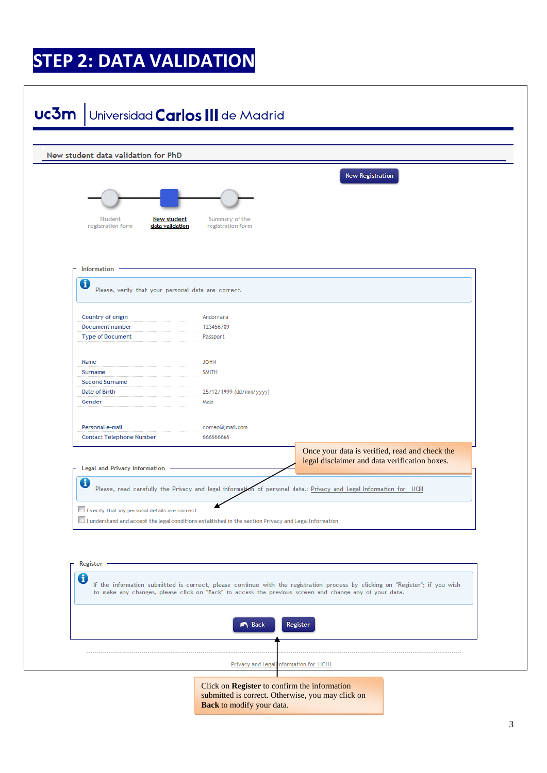## **STEP 2: DATA VALIDATION**

| New student data validation for PhD                                                                          |                                     |                                                                                                                               |
|--------------------------------------------------------------------------------------------------------------|-------------------------------------|-------------------------------------------------------------------------------------------------------------------------------|
|                                                                                                              |                                     |                                                                                                                               |
|                                                                                                              |                                     | <b>New Registration</b>                                                                                                       |
|                                                                                                              |                                     |                                                                                                                               |
|                                                                                                              |                                     |                                                                                                                               |
| Student<br>New student<br>registration form<br>data validation                                               | Summary of the<br>registration form |                                                                                                                               |
|                                                                                                              |                                     |                                                                                                                               |
|                                                                                                              |                                     |                                                                                                                               |
| Information                                                                                                  |                                     |                                                                                                                               |
| O                                                                                                            |                                     |                                                                                                                               |
| Please, verify that your personal data are correct.                                                          |                                     |                                                                                                                               |
|                                                                                                              |                                     |                                                                                                                               |
| Country of origin<br>Document number                                                                         | Andorrana<br>123456789              |                                                                                                                               |
| <b>Type of Document</b>                                                                                      | Passport                            |                                                                                                                               |
|                                                                                                              |                                     |                                                                                                                               |
| <b>Name</b><br>Surname                                                                                       | <b>JOHN</b><br><b>SMITH</b>         |                                                                                                                               |
| <b>Second Surname</b>                                                                                        |                                     |                                                                                                                               |
| Date of Birth                                                                                                | 25/12/1999 (dd/mm/yyyy)             |                                                                                                                               |
| Gender                                                                                                       | Male                                |                                                                                                                               |
| Personal e-mail                                                                                              | correo@jmail.com                    |                                                                                                                               |
| <b>Contact Telephone Number</b>                                                                              | 66666666                            |                                                                                                                               |
|                                                                                                              |                                     | Once your data is verified, read and check the                                                                                |
| <b>Legal and Privacy Information</b>                                                                         |                                     | legal disclaimer and data verification boxes.                                                                                 |
| đ                                                                                                            |                                     |                                                                                                                               |
|                                                                                                              |                                     | Please, read carefully the Privacy and legal information of personal data.: Privacy and Legal Information for UCIII           |
| $\Box$ I verify that my personal details are correct                                                         |                                     |                                                                                                                               |
| $\Box$ I understand and accept the legal conditions established in the section Privacy and Legal Information |                                     |                                                                                                                               |
|                                                                                                              |                                     |                                                                                                                               |
|                                                                                                              |                                     |                                                                                                                               |
| Register                                                                                                     |                                     |                                                                                                                               |
| 0                                                                                                            |                                     | If the information submitted is correct, please continue with the registration process by clicking on "Register"; if you wish |
|                                                                                                              |                                     | to make any changes, please click on "Back" to access the previous screen and change any of your data.                        |
|                                                                                                              |                                     |                                                                                                                               |
|                                                                                                              | <b>A</b> Back                       | Register                                                                                                                      |
|                                                                                                              |                                     |                                                                                                                               |
|                                                                                                              |                                     |                                                                                                                               |
|                                                                                                              |                                     |                                                                                                                               |